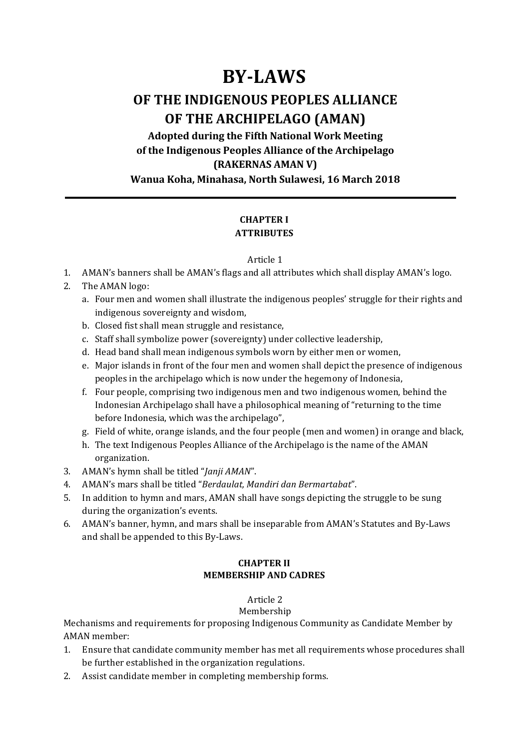# **BY-LAWS**

# **OF THE INDIGENOUS PEOPLES ALLIANCE OF THE ARCHIPELAGO (AMAN)**

Adopted during the Fifth National Work Meeting **of the Indigenous Peoples Alliance of the Archipelago (RAKERNAS AMAN V) Wanua Koha, Minahasa, North Sulawesi, 16 March 2018** 

## **CHAPTER I ATTRIBUTES**

#### Article 1

- 1. AMAN's banners shall be AMAN's flags and all attributes which shall display AMAN's logo.
- 2. The AMAN logo:
	- a. Four men and women shall illustrate the indigenous peoples' struggle for their rights and indigenous sovereignty and wisdom,
	- b. Closed fist shall mean struggle and resistance,
	- c. Staff shall symbolize power (sovereignty) under collective leadership,
	- d. Head band shall mean indigenous symbols worn by either men or women,
	- e. Major islands in front of the four men and women shall depict the presence of indigenous peoples in the archipelago which is now under the hegemony of Indonesia,
	- f. Four people, comprising two indigenous men and two indigenous women, behind the Indonesian Archipelago shall have a philosophical meaning of "returning to the time before Indonesia, which was the archipelago",
	- g. Field of white, orange islands, and the four people (men and women) in orange and black,
	- h. The text Indigenous Peoples Alliance of the Archipelago is the name of the AMAN organization.
- 3. AMAN's hymn shall be titled "*Janji AMAN"*.
- 4. AMAN's mars shall be titled "*Berdaulat, Mandiri dan Bermartabat*".
- 5. In addition to hymn and mars, AMAN shall have songs depicting the struggle to be sung during the organization's events.
- 6. AMAN's banner, hymn, and mars shall be inseparable from AMAN's Statutes and By-Laws and shall be appended to this By-Laws.

## **CHAPTER II MEMBERSHIP AND CADRES**

## Article 2

#### Membership

Mechanisms and requirements for proposing Indigenous Community as Candidate Member by AMAN member:

- 1. Ensure that candidate community member has met all requirements whose procedures shall be further established in the organization regulations.
- 2. Assist candidate member in completing membership forms.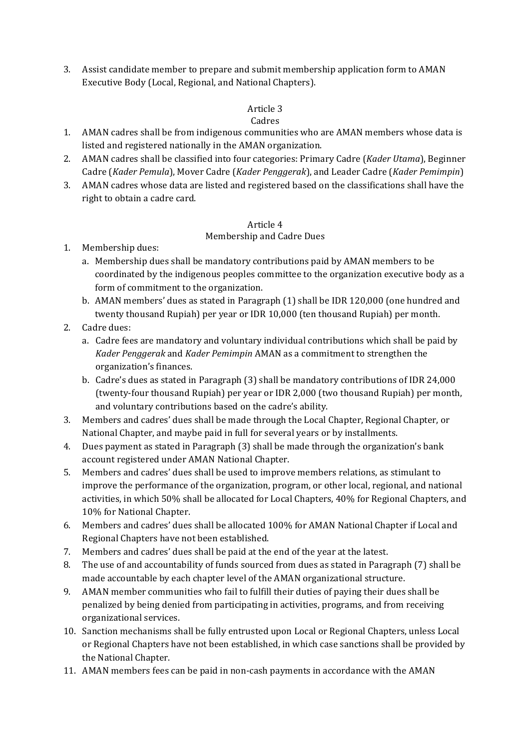3. Assist candidate member to prepare and submit membership application form to AMAN Executive Body (Local, Regional, and National Chapters).

## Article 3

## Cadres

- 1. AMAN cadres shall be from indigenous communities who are AMAN members whose data is listed and registered nationally in the AMAN organization.
- 2. AMAN cadres shall be classified into four categories: Primary Cadre (*Kader Utama*), Beginner Cadre (*Kader Pemula*), Mover Cadre (*Kader Penggerak*), and Leader Cadre (*Kader Pemimpin*)
- 3. AMAN cadres whose data are listed and registered based on the classifications shall have the right to obtain a cadre card.

#### Article 4

#### Membership and Cadre Dues

- 1. Membership dues:
	- a. Membership dues shall be mandatory contributions paid by AMAN members to be coordinated by the indigenous peoples committee to the organization executive body as a form of commitment to the organization.
	- b. AMAN members' dues as stated in Paragraph (1) shall be IDR 120,000 (one hundred and twenty thousand Rupiah) per year or IDR 10,000 (ten thousand Rupiah) per month.
- 2. Cadre dues:
	- a. Cadre fees are mandatory and voluntary individual contributions which shall be paid by *Kader Penggerak* and *Kader Pemimpin* AMAN as a commitment to strengthen the organization's finances.
	- b. Cadre's dues as stated in Paragraph (3) shall be mandatory contributions of IDR 24,000 (twenty-four thousand Rupiah) per year or IDR 2,000 (two thousand Rupiah) per month, and voluntary contributions based on the cadre's ability.
- 3. Members and cadres' dues shall be made through the Local Chapter, Regional Chapter, or National Chapter, and maybe paid in full for several years or by installments.
- 4. Dues payment as stated in Paragraph (3) shall be made through the organization's bank account registered under AMAN National Chapter.
- 5. Members and cadres' dues shall be used to improve members relations, as stimulant to improve the performance of the organization, program, or other local, regional, and national activities, in which 50% shall be allocated for Local Chapters, 40% for Regional Chapters, and 10% for National Chapter.
- 6. Members and cadres' dues shall be allocated 100% for AMAN National Chapter if Local and Regional Chapters have not been established.
- 7. Members and cadres' dues shall be paid at the end of the year at the latest.
- 8. The use of and accountability of funds sourced from dues as stated in Paragraph (7) shall be made accountable by each chapter level of the AMAN organizational structure.
- 9. AMAN member communities who fail to fulfill their duties of paying their dues shall be penalized by being denied from participating in activities, programs, and from receiving organizational services.
- 10. Sanction mechanisms shall be fully entrusted upon Local or Regional Chapters, unless Local or Regional Chapters have not been established, in which case sanctions shall be provided by the National Chapter.
- 11. AMAN members fees can be paid in non-cash payments in accordance with the AMAN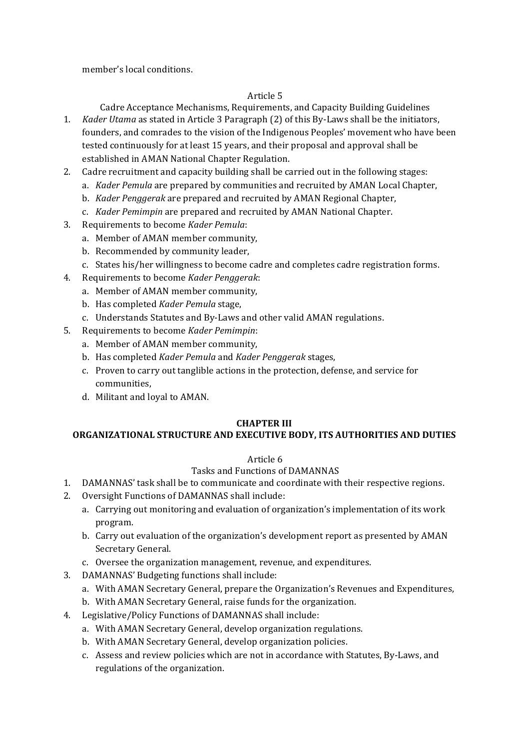member's local conditions.

## Article<sub>5</sub>

Cadre Acceptance Mechanisms, Requirements, and Capacity Building Guidelines

- 1. *Kader Utama* as stated in Article 3 Paragraph (2) of this By-Laws shall be the initiators, founders, and comrades to the vision of the Indigenous Peoples' movement who have been tested continuously for at least 15 years, and their proposal and approval shall be established in AMAN National Chapter Regulation.
- 2. Cadre recruitment and capacity building shall be carried out in the following stages:
	- a. *Kader Pemula* are prepared by communities and recruited by AMAN Local Chapter,
	- b. *Kader Penggerak* are prepared and recruited by AMAN Regional Chapter,
	- c. *Kader Pemimpin* are prepared and recruited by AMAN National Chapter.
- 3. Requirements to become *Kader Pemula*:
	- a. Member of AMAN member community,
	- b. Recommended by community leader,
	- c. States his/her willingness to become cadre and completes cadre registration forms.
- 4. Requirements to become *Kader Penggerak*:
	- a. Member of AMAN member community,
	- b. Has completed *Kader Pemula* stage,
	- c. Understands Statutes and By-Laws and other valid AMAN regulations.
- 5. Requirements to become *Kader Pemimpin*:
	- a. Member of AMAN member community,
	- b. Has completed *Kader Pemula* and *Kader Penggerak* stages,
	- c. Proven to carry out tanglible actions in the protection, defense, and service for communities,
	- d. Militant and loyal to AMAN.

# **CHAPTER III**

## **ORGANIZATIONAL STRUCTURE AND EXECUTIVE BODY, ITS AUTHORITIES AND DUTIES**

## Article 6

# Tasks and Functions of DAMANNAS

- 1. DAMANNAS' task shall be to communicate and coordinate with their respective regions.
- 2. Oversight Functions of DAMANNAS shall include:
	- a. Carrying out monitoring and evaluation of organization's implementation of its work program.
	- b. Carry out evaluation of the organization's development report as presented by AMAN Secretary General.
	- c. Oversee the organization management, revenue, and expenditures.
- 3. DAMANNAS' Budgeting functions shall include:
	- a. With AMAN Secretary General, prepare the Organization's Revenues and Expenditures,
	- b. With AMAN Secretary General, raise funds for the organization.
- 4. Legislative/Policy Functions of DAMANNAS shall include:
	- a. With AMAN Secretary General, develop organization regulations.
	- b. With AMAN Secretary General, develop organization policies.
	- c. Assess and review policies which are not in accordance with Statutes, By-Laws, and regulations of the organization.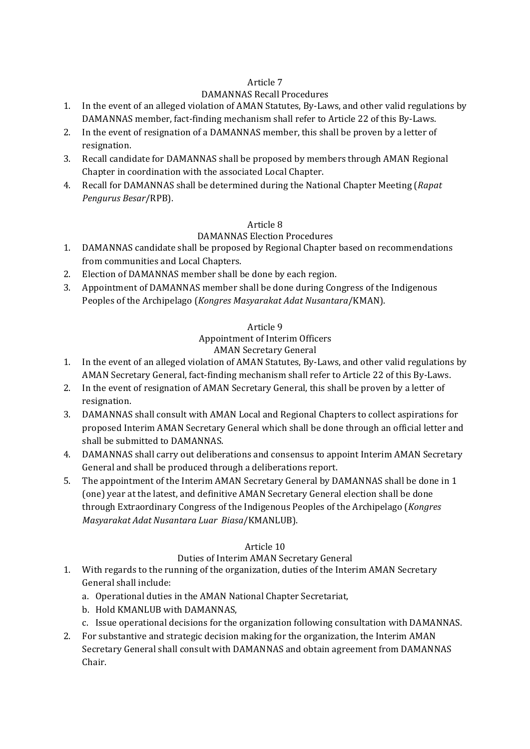## Article 7

## DAMANNAS Recall Procedures

- 1. In the event of an alleged violation of AMAN Statutes, By-Laws, and other valid regulations by DAMANNAS member, fact-finding mechanism shall refer to Article 22 of this By-Laws.
- 2. In the event of resignation of a DAMANNAS member, this shall be proven by a letter of resignation.
- 3. Recall candidate for DAMANNAS shall be proposed by members through AMAN Regional Chapter in coordination with the associated Local Chapter.
- 4. Recall for DAMANNAS shall be determined during the National Chapter Meeting (*Rapat*) *Pengurus Besar*/RPB).

## Article 8

## DAMANNAS Election Procedures

- 1. DAMANNAS candidate shall be proposed by Regional Chapter based on recommendations from communities and Local Chapters.
- 2. Election of DAMANNAS member shall be done by each region.
- 3. Appointment of DAMANNAS member shall be done during Congress of the Indigenous Peoples of the Archipelago (*Kongres Masyarakat Adat Nusantara*/KMAN).

#### Article 9

# Appointment of Interim Officers

## **AMAN Secretary General**

- 1. In the event of an alleged violation of AMAN Statutes, By-Laws, and other valid regulations by AMAN Secretary General, fact-finding mechanism shall refer to Article 22 of this By-Laws.
- 2. In the event of resignation of AMAN Secretary General, this shall be proven by a letter of resignation.
- 3. DAMANNAS shall consult with AMAN Local and Regional Chapters to collect aspirations for proposed Interim AMAN Secretary General which shall be done through an official letter and shall be submitted to DAMANNAS.
- 4. DAMANNAS shall carry out deliberations and consensus to appoint Interim AMAN Secretary General and shall be produced through a deliberations report.
- 5. The appointment of the Interim AMAN Secretary General by DAMANNAS shall be done in 1 (one) year at the latest, and definitive AMAN Secretary General election shall be done through Extraordinary Congress of the Indigenous Peoples of the Archipelago (*Kongres Masyarakat Adat Nusantara Luar Biasa*/KMANLUB).

## Article 10

## Duties of Interim AMAN Secretary General

- 1. With regards to the running of the organization, duties of the Interim AMAN Secretary General shall include:
	- a. Operational duties in the AMAN National Chapter Secretariat,
	- b. Hold KMANLUB with DAMANNAS,
	- c. Issue operational decisions for the organization following consultation with DAMANNAS.
- 2. For substantive and strategic decision making for the organization, the Interim AMAN Secretary General shall consult with DAMANNAS and obtain agreement from DAMANNAS Chair.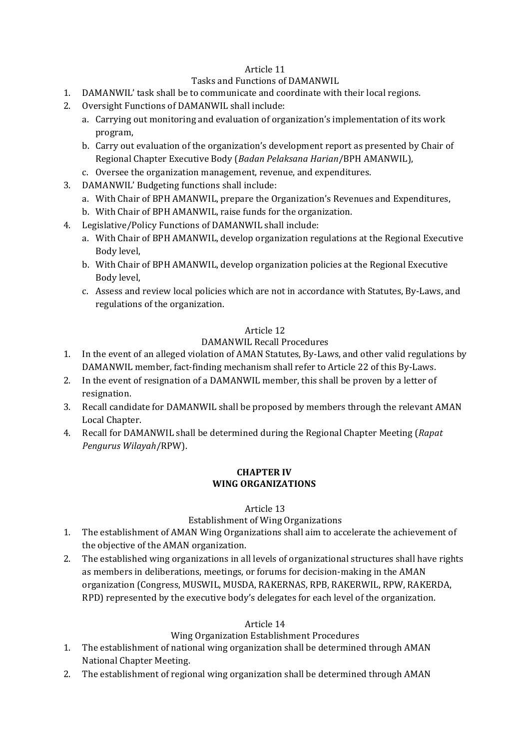## Article 11

#### Tasks and Functions of DAMANWIL

- 1. DAMANWIL' task shall be to communicate and coordinate with their local regions.
- 2. Oversight Functions of DAMANWIL shall include:
	- a. Carrying out monitoring and evaluation of organization's implementation of its work program,
	- b. Carry out evaluation of the organization's development report as presented by Chair of Regional Chapter Executive Body (*Badan Pelaksana Harian*/BPH AMANWIL),
	- c. Oversee the organization management, revenue, and expenditures.
- 3. DAMANWIL' Budgeting functions shall include:
	- a. With Chair of BPH AMANWIL, prepare the Organization's Revenues and Expenditures,
	- b. With Chair of BPH AMANWIL, raise funds for the organization.
- 4. Legislative/Policy Functions of DAMANWIL shall include:
	- a. With Chair of BPH AMANWIL, develop organization regulations at the Regional Executive Body level.
	- b. With Chair of BPH AMANWIL, develop organization policies at the Regional Executive Body level,
	- c. Assess and review local policies which are not in accordance with Statutes, By-Laws, and regulations of the organization.

#### Article 12

#### DAMANWIL Recall Procedures

- 1. In the event of an alleged violation of AMAN Statutes, By-Laws, and other valid regulations by DAMANWIL member, fact-finding mechanism shall refer to Article 22 of this By-Laws.
- 2. In the event of resignation of a DAMANWIL member, this shall be proven by a letter of resignation.
- 3. Recall candidate for DAMANWIL shall be proposed by members through the relevant AMAN Local Chapter.
- 4. Recall for DAMANWIL shall be determined during the Regional Chapter Meeting (*Rapat Pengurus Wilayah*/RPW).

#### **CHAPTER IV WING ORGANIZATIONS**

#### Article 13

#### Establishment of Wing Organizations

- 1. The establishment of AMAN Wing Organizations shall aim to accelerate the achievement of the objective of the AMAN organization.
- 2. The established wing organizations in all levels of organizational structures shall have rights as members in deliberations, meetings, or forums for decision-making in the AMAN organization (Congress, MUSWIL, MUSDA, RAKERNAS, RPB, RAKERWIL, RPW, RAKERDA, RPD) represented by the executive body's delegates for each level of the organization.

#### Article 14

#### Wing Organization Establishment Procedures

- 1. The establishment of national wing organization shall be determined through AMAN National Chapter Meeting.
- 2. The establishment of regional wing organization shall be determined through AMAN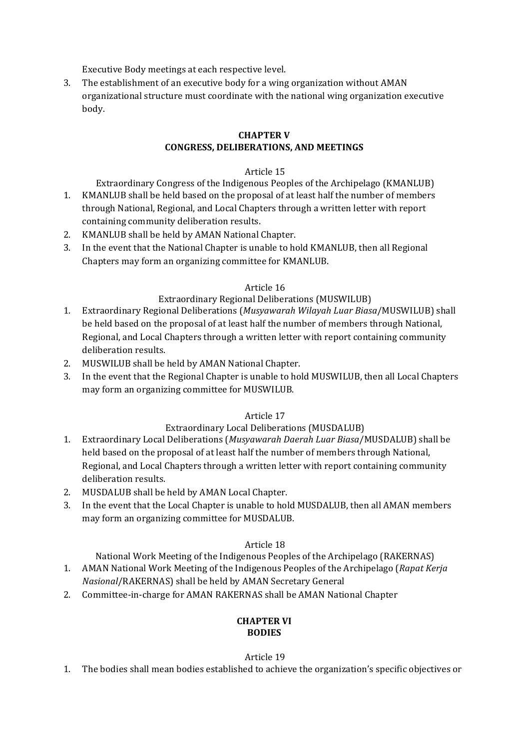Executive Body meetings at each respective level.

3. The establishment of an executive body for a wing organization without AMAN organizational structure must coordinate with the national wing organization executive body. 

#### **CHAPTER V CONGRESS, DELIBERATIONS, AND MEETINGS**

#### Article 15

Extraordinary Congress of the Indigenous Peoples of the Archipelago (KMANLUB)

- 1. KMANLUB shall be held based on the proposal of at least half the number of members through National, Regional, and Local Chapters through a written letter with report containing community deliberation results.
- 2. KMANLUB shall be held by AMAN National Chapter.
- 3. In the event that the National Chapter is unable to hold KMANLUB, then all Regional Chapters may form an organizing committee for KMANLUB.

#### Article 16

## Extraordinary Regional Deliberations (MUSWILUB)

- 1. Extraordinary Regional Deliberations (Musyawarah Wilayah Luar Biasa/MUSWILUB) shall be held based on the proposal of at least half the number of members through National, Regional, and Local Chapters through a written letter with report containing community deliberation results.
- 2. MUSWILUB shall be held by AMAN National Chapter.
- 3. In the event that the Regional Chapter is unable to hold MUSWILUB, then all Local Chapters may form an organizing committee for MUSWILUB.

## Article 17

#### Extraordinary Local Deliberations (MUSDALUB)

- 1. Extraordinary Local Deliberations (*Musyawarah Daerah Luar Biasa*/MUSDALUB) shall be held based on the proposal of at least half the number of members through National, Regional, and Local Chapters through a written letter with report containing community deliberation results.
- 2. MUSDALUB shall be held by AMAN Local Chapter.
- 3. In the event that the Local Chapter is unable to hold MUSDALUB, then all AMAN members may form an organizing committee for MUSDALUB.

#### Article 18

National Work Meeting of the Indigenous Peoples of the Archipelago (RAKERNAS)

- 1. AMAN National Work Meeting of the Indigenous Peoples of the Archipelago (Rapat Kerja *Nasional/RAKERNAS*) shall be held by AMAN Secretary General
- 2. Committee-in-charge for AMAN RAKERNAS shall be AMAN National Chapter

#### **CHAPTER VI BODIES**

#### Article 19

1. The bodies shall mean bodies established to achieve the organization's specific objectives or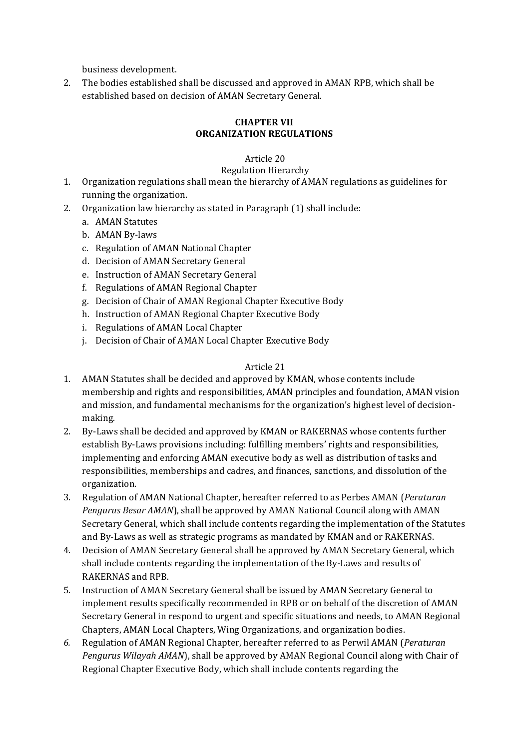business development. 

2. The bodies established shall be discussed and approved in AMAN RPB, which shall be established based on decision of AMAN Secretary General.

## **CHAPTER VII ORGANIZATION REGULATIONS**

# Article 20

# Regulation Hierarchy

- 1. Organization regulations shall mean the hierarchy of AMAN regulations as guidelines for running the organization.
- 2. Organization law hierarchy as stated in Paragraph (1) shall include:
	- a. AMAN Statutes
	- b. AMAN By-laws
	- c. Regulation of AMAN National Chapter
	- d. Decision of AMAN Secretary General
	- e. Instruction of AMAN Secretary General
	- f. Regulations of AMAN Regional Chapter
	- g. Decision of Chair of AMAN Regional Chapter Executive Body
	- h. Instruction of AMAN Regional Chapter Executive Body
	- i. Regulations of AMAN Local Chapter
	- j. Decision of Chair of AMAN Local Chapter Executive Body

#### Article 21

- 1. AMAN Statutes shall be decided and approved by KMAN, whose contents include membership and rights and responsibilities, AMAN principles and foundation, AMAN vision and mission, and fundamental mechanisms for the organization's highest level of decisionmaking.
- 2. By-Laws shall be decided and approved by KMAN or RAKERNAS whose contents further establish By-Laws provisions including: fulfilling members' rights and responsibilities, implementing and enforcing AMAN executive body as well as distribution of tasks and responsibilities, memberships and cadres, and finances, sanctions, and dissolution of the organization.
- 3. Regulation of AMAN National Chapter, hereafter referred to as Perbes AMAN (*Peraturan Pengurus Besar AMAN*), shall be approved by AMAN National Council along with AMAN Secretary General, which shall include contents regarding the implementation of the Statutes and By-Laws as well as strategic programs as mandated by KMAN and or RAKERNAS.
- 4. Decision of AMAN Secretary General shall be approved by AMAN Secretary General, which shall include contents regarding the implementation of the By-Laws and results of RAKERNAS and RPB.
- 5. Instruction of AMAN Secretary General shall be issued by AMAN Secretary General to implement results specifically recommended in RPB or on behalf of the discretion of AMAN Secretary General in respond to urgent and specific situations and needs, to AMAN Regional Chapters, AMAN Local Chapters, Wing Organizations, and organization bodies.
- 6. Regulation of AMAN Regional Chapter, hereafter referred to as Perwil AMAN (*Peraturan*) *Pengurus Wilayah AMAN*), shall be approved by AMAN Regional Council along with Chair of Regional Chapter Executive Body, which shall include contents regarding the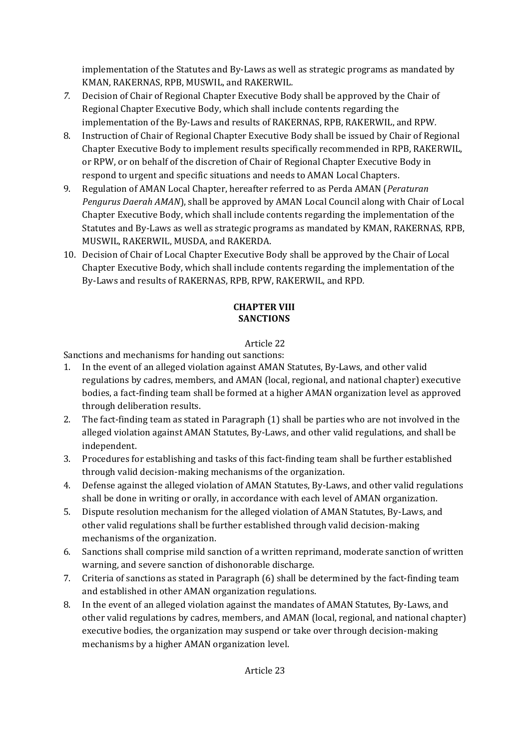implementation of the Statutes and By-Laws as well as strategic programs as mandated by KMAN, RAKERNAS, RPB, MUSWIL, and RAKERWIL.

- 7. Decision of Chair of Regional Chapter Executive Body shall be approved by the Chair of Regional Chapter Executive Body, which shall include contents regarding the implementation of the By-Laws and results of RAKERNAS, RPB, RAKERWIL, and RPW.
- 8. Instruction of Chair of Regional Chapter Executive Body shall be issued by Chair of Regional Chapter Executive Body to implement results specifically recommended in RPB, RAKERWIL, or RPW, or on behalf of the discretion of Chair of Regional Chapter Executive Body in respond to urgent and specific situations and needs to AMAN Local Chapters.
- 9. Regulation of AMAN Local Chapter, hereafter referred to as Perda AMAN (*Peraturan Pengurus Daerah AMAN*), shall be approved by AMAN Local Council along with Chair of Local Chapter Executive Body, which shall include contents regarding the implementation of the Statutes and By-Laws as well as strategic programs as mandated by KMAN, RAKERNAS, RPB, MUSWIL, RAKERWIL, MUSDA, and RAKERDA.
- 10. Decision of Chair of Local Chapter Executive Body shall be approved by the Chair of Local Chapter Executive Body, which shall include contents regarding the implementation of the By-Laws and results of RAKERNAS, RPB, RPW, RAKERWIL, and RPD.

## **CHAPTER VIII SANCTIONS**

# Article 22

Sanctions and mechanisms for handing out sanctions:

- 1. In the event of an alleged violation against AMAN Statutes, By-Laws, and other valid regulations by cadres, members, and AMAN (local, regional, and national chapter) executive bodies, a fact-finding team shall be formed at a higher AMAN organization level as approved through deliberation results.
- 2. The fact-finding team as stated in Paragraph  $(1)$  shall be parties who are not involved in the alleged violation against AMAN Statutes, By-Laws, and other valid regulations, and shall be independent.
- 3. Procedures for establishing and tasks of this fact-finding team shall be further established through valid decision-making mechanisms of the organization.
- 4. Defense against the alleged violation of AMAN Statutes, By-Laws, and other valid regulations shall be done in writing or orally, in accordance with each level of AMAN organization.
- 5. Dispute resolution mechanism for the alleged violation of AMAN Statutes, By-Laws, and other valid regulations shall be further established through valid decision-making mechanisms of the organization.
- 6. Sanctions shall comprise mild sanction of a written reprimand, moderate sanction of written warning, and severe sanction of dishonorable discharge.
- 7. Criteria of sanctions as stated in Paragraph (6) shall be determined by the fact-finding team and established in other AMAN organization regulations.
- 8. In the event of an alleged violation against the mandates of AMAN Statutes, By-Laws, and other valid regulations by cadres, members, and AMAN (local, regional, and national chapter) executive bodies, the organization may suspend or take over through decision-making mechanisms by a higher AMAN organization level.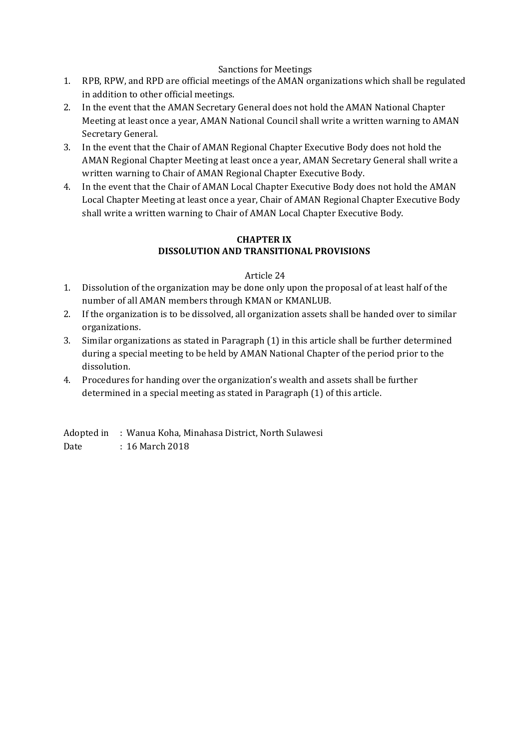#### Sanctions for Meetings

- 1. RPB, RPW, and RPD are official meetings of the AMAN organizations which shall be regulated in addition to other official meetings.
- 2. In the event that the AMAN Secretary General does not hold the AMAN National Chapter Meeting at least once a year, AMAN National Council shall write a written warning to AMAN Secretary General.
- 3. In the event that the Chair of AMAN Regional Chapter Executive Body does not hold the AMAN Regional Chapter Meeting at least once a year, AMAN Secretary General shall write a written warning to Chair of AMAN Regional Chapter Executive Body.
- 4. In the event that the Chair of AMAN Local Chapter Executive Body does not hold the AMAN Local Chapter Meeting at least once a year, Chair of AMAN Regional Chapter Executive Body shall write a written warning to Chair of AMAN Local Chapter Executive Body.

#### **CHAPTER IX DISSOLUTION AND TRANSITIONAL PROVISIONS**

#### Article 24

- 1. Dissolution of the organization may be done only upon the proposal of at least half of the number of all AMAN members through KMAN or KMANLUB.
- 2. If the organization is to be dissolved, all organization assets shall be handed over to similar organizations.
- 3. Similar organizations as stated in Paragraph (1) in this article shall be further determined during a special meeting to be held by AMAN National Chapter of the period prior to the dissolution.
- 4. Procedures for handing over the organization's wealth and assets shall be further determined in a special meeting as stated in Paragraph (1) of this article.

Adopted in : Wanua Koha, Minahasa District, North Sulawesi

Date : 16 March 2018